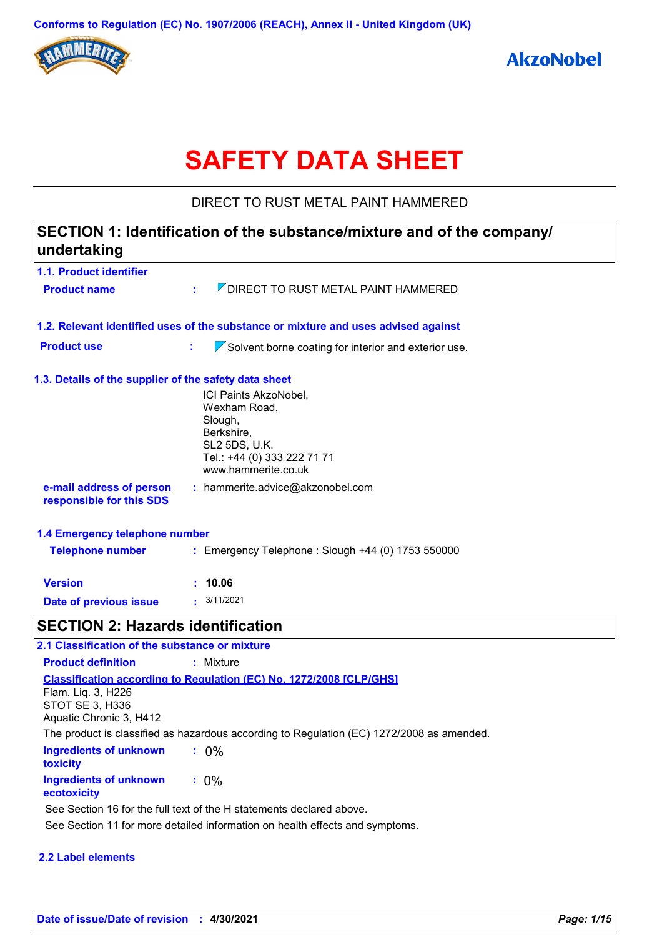

# **SAFETY DATA SHEET**

DIRECT TO RUST METAL PAINT HAMMERED

### **1.1. Product identifier 1.3. Details of the supplier of the safety data sheet 1.2. Relevant identified uses of the substance or mixture and uses advised against SECTION 1: Identification of the substance/mixture and of the company/ undertaking Date of previous issue :** 3/11/2021 ICI Paints AkzoNobel, Wexham Road, Slough, Berkshire, SL2 5DS, U.K. Tel.: +44 (0) 333 222 71 71 www.hammerite.co.uk **e-mail address of person responsible for this SDS :** hammerite.advice@akzonobel.com **1.4 Emergency telephone number Version : 10.06 Product name**  $\overline{Z}$  **DIRECT TO RUST METAL PAINT HAMMERED Product use : Solvent borne coating for interior and exterior use. Telephone number :** Emergency Telephone : Slough +44 (0) 1753 550000 **SECTION 2: Hazards identification 2.1 Classification of the substance or mixture**

**Ingredients of unknown toxicity :** 0% **Ingredients of unknown ecotoxicity :** 0% **Classification according to Regulation (EC) No. 1272/2008 [CLP/GHS] Product definition :** Mixture Flam. Liq. 3, H226 STOT SE 3, H336 Aquatic Chronic 3, H412 The product is classified as hazardous according to Regulation (EC) 1272/2008 as amended. See Section 11 for more detailed information on health effects and symptoms. See Section 16 for the full text of the H statements declared above.

### **2.2 Label elements**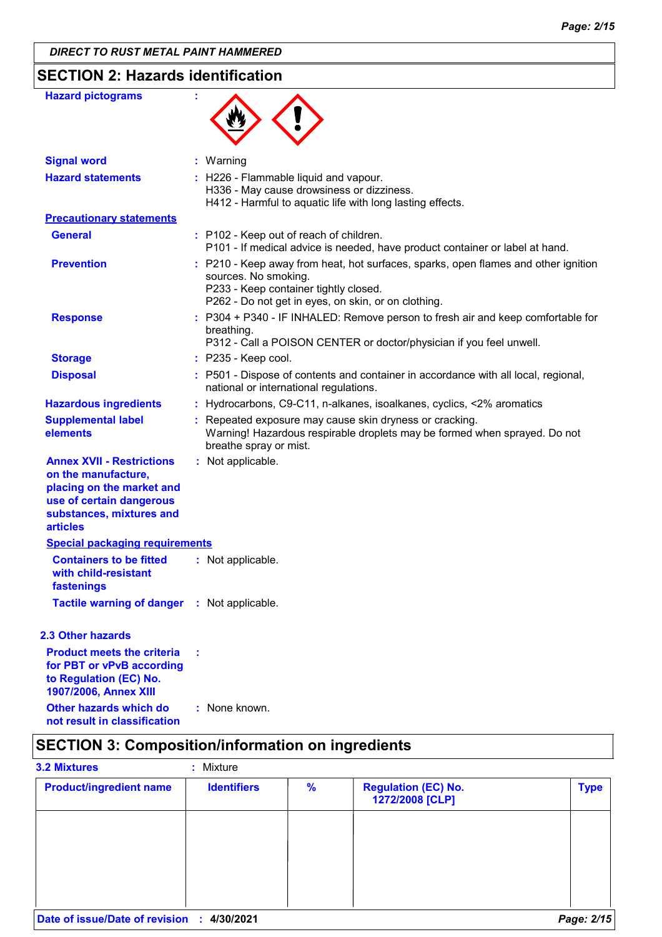### **SECTION 2: Hazards identification**

| <b>Hazard pictograms</b>                                                                                                                                        |                                                                                                                                                                                                            |
|-----------------------------------------------------------------------------------------------------------------------------------------------------------------|------------------------------------------------------------------------------------------------------------------------------------------------------------------------------------------------------------|
| <b>Signal word</b>                                                                                                                                              | : Warning                                                                                                                                                                                                  |
| <b>Hazard statements</b>                                                                                                                                        | : H226 - Flammable liquid and vapour.<br>H336 - May cause drowsiness or dizziness.<br>H412 - Harmful to aquatic life with long lasting effects.                                                            |
| <b>Precautionary statements</b>                                                                                                                                 |                                                                                                                                                                                                            |
| <b>General</b>                                                                                                                                                  | : P102 - Keep out of reach of children.<br>P101 - If medical advice is needed, have product container or label at hand.                                                                                    |
| <b>Prevention</b>                                                                                                                                               | : P210 - Keep away from heat, hot surfaces, sparks, open flames and other ignition<br>sources. No smoking.<br>P233 - Keep container tightly closed.<br>P262 - Do not get in eyes, on skin, or on clothing. |
| <b>Response</b>                                                                                                                                                 | : P304 + P340 - IF INHALED: Remove person to fresh air and keep comfortable for<br>breathing.<br>P312 - Call a POISON CENTER or doctor/physician if you feel unwell.                                       |
| <b>Storage</b>                                                                                                                                                  | : P235 - Keep cool.                                                                                                                                                                                        |
| <b>Disposal</b>                                                                                                                                                 | : P501 - Dispose of contents and container in accordance with all local, regional,<br>national or international regulations.                                                                               |
| <b>Hazardous ingredients</b>                                                                                                                                    | : Hydrocarbons, C9-C11, n-alkanes, isoalkanes, cyclics, <2% aromatics                                                                                                                                      |
| <b>Supplemental label</b><br>elements                                                                                                                           | : Repeated exposure may cause skin dryness or cracking.<br>Warning! Hazardous respirable droplets may be formed when sprayed. Do not<br>breathe spray or mist.                                             |
| <b>Annex XVII - Restrictions</b><br>on the manufacture,<br>placing on the market and<br>use of certain dangerous<br>substances, mixtures and<br><b>articles</b> | : Not applicable.                                                                                                                                                                                          |
| <b>Special packaging requirements</b>                                                                                                                           |                                                                                                                                                                                                            |
| <b>Containers to be fitted</b><br>with child-resistant<br><b>fastenings</b>                                                                                     | : Not applicable.                                                                                                                                                                                          |
| <b>Tactile warning of danger : Not applicable.</b>                                                                                                              |                                                                                                                                                                                                            |
| <b>2.3 Other hazards</b>                                                                                                                                        |                                                                                                                                                                                                            |
| <b>Product meets the criteria</b><br>for PBT or vPvB according<br>to Regulation (EC) No.<br>1907/2006, Annex XIII                                               |                                                                                                                                                                                                            |
| Other hazards which do<br>not result in classification                                                                                                          | : None known.                                                                                                                                                                                              |

# **SECTION 3: Composition/information on ingredients**

| <b>3.2 Mixtures</b>                        | : Mixture          |               |                                               |             |
|--------------------------------------------|--------------------|---------------|-----------------------------------------------|-------------|
| <b>Product/ingredient name</b>             | <b>Identifiers</b> | $\frac{9}{6}$ | <b>Regulation (EC) No.</b><br>1272/2008 [CLP] | <b>Type</b> |
|                                            |                    |               |                                               |             |
|                                            |                    |               |                                               |             |
|                                            |                    |               |                                               |             |
|                                            |                    |               |                                               |             |
| Date of issue/Date of revision : 4/30/2021 |                    |               |                                               | Page: 2/15  |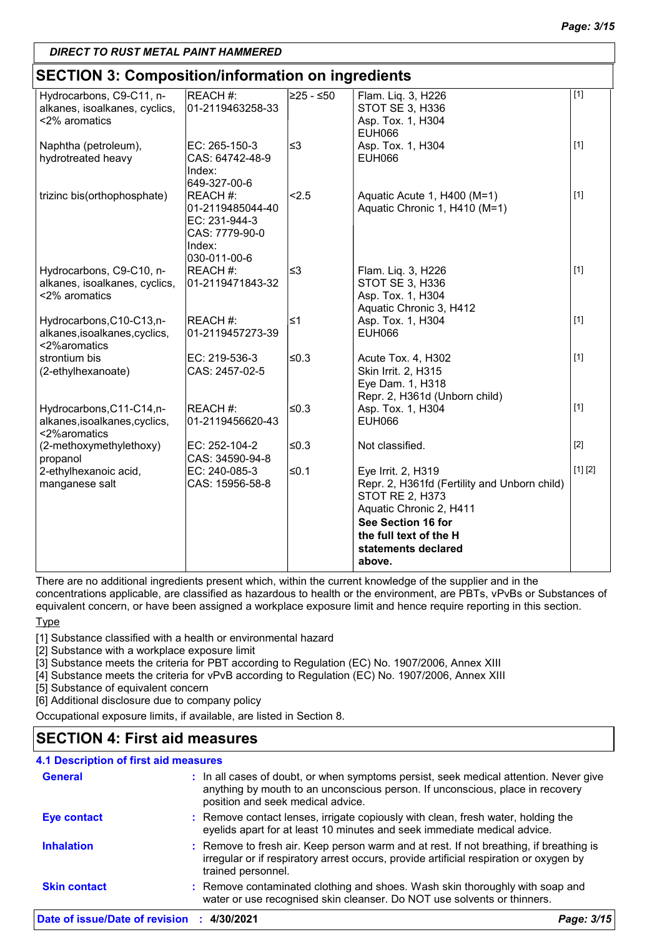### **SECTION 3: Composition/information on ingredients**

| <b>SECTION 3. COMPOSITION/INTO MILLON ON INGLEMENTS</b> |                  |             |                                                                        |         |
|---------------------------------------------------------|------------------|-------------|------------------------------------------------------------------------|---------|
| Hydrocarbons, C9-C11, n-                                | <b>REACH #:</b>  | $≥25 - ≤50$ | Flam. Liq. 3, H226                                                     | $[1]$   |
| alkanes, isoalkanes, cyclics,                           | 01-2119463258-33 |             | STOT SE 3, H336                                                        |         |
| <2% aromatics                                           |                  |             | Asp. Tox. 1, H304                                                      |         |
|                                                         |                  |             | <b>EUH066</b>                                                          |         |
| Naphtha (petroleum),                                    | EC: 265-150-3    | $\leq$ 3    | Asp. Tox. 1, H304                                                      | $[1]$   |
| hydrotreated heavy                                      | CAS: 64742-48-9  |             | <b>EUH066</b>                                                          |         |
|                                                         | Index:           |             |                                                                        |         |
|                                                         | 649-327-00-6     |             |                                                                        |         |
| trizinc bis(orthophosphate)                             | REACH #:         | 2.5         | Aquatic Acute 1, H400 (M=1)                                            | $[1]$   |
|                                                         | 01-2119485044-40 |             | Aquatic Chronic 1, H410 (M=1)                                          |         |
|                                                         | EC: 231-944-3    |             |                                                                        |         |
|                                                         | CAS: 7779-90-0   |             |                                                                        |         |
|                                                         | Index:           |             |                                                                        |         |
|                                                         | 030-011-00-6     |             |                                                                        |         |
| Hydrocarbons, C9-C10, n-                                | REACH #:         | l≤3         | Flam. Liq. 3, H226                                                     | $[1]$   |
| alkanes, isoalkanes, cyclics,                           | 01-2119471843-32 |             | STOT SE 3, H336                                                        |         |
| <2% aromatics                                           |                  |             | Asp. Tox. 1, H304                                                      |         |
|                                                         |                  |             | Aquatic Chronic 3, H412                                                |         |
| Hydrocarbons, C10-C13, n-                               | REACH #:         | ≤1          | Asp. Tox. 1, H304                                                      | $[1]$   |
| alkanes, isoalkanes, cyclics,                           | 01-2119457273-39 |             | <b>EUH066</b>                                                          |         |
| <2%aromatics                                            |                  |             |                                                                        |         |
| strontium bis                                           | EC: 219-536-3    | $≤0.3$      | Acute Tox. 4, H302                                                     | $[1]$   |
| (2-ethylhexanoate)                                      | CAS: 2457-02-5   |             | Skin Irrit. 2, H315                                                    |         |
|                                                         |                  |             | Eye Dam. 1, H318                                                       |         |
|                                                         |                  |             | Repr. 2, H361d (Unborn child)                                          |         |
| Hydrocarbons, C11-C14, n-                               | REACH #:         | ≤0.3        | Asp. Tox. 1, H304                                                      | $[1]$   |
| alkanes, isoalkanes, cyclics,                           | 01-2119456620-43 |             | <b>EUH066</b>                                                          |         |
| <2%aromatics                                            |                  | ≤0.3        |                                                                        | $[2]$   |
| (2-methoxymethylethoxy)                                 | EC: 252-104-2    |             | Not classified.                                                        |         |
| propanol                                                | CAS: 34590-94-8  |             |                                                                        | [1] [2] |
| 2-ethylhexanoic acid,                                   | EC: 240-085-3    | ≤0.1        | Eye Irrit. 2, H319                                                     |         |
| manganese salt                                          | CAS: 15956-58-8  |             | Repr. 2, H361fd (Fertility and Unborn child)<br><b>STOT RE 2, H373</b> |         |
|                                                         |                  |             | Aquatic Chronic 2, H411                                                |         |
|                                                         |                  |             | See Section 16 for                                                     |         |
|                                                         |                  |             | the full text of the H                                                 |         |
|                                                         |                  |             |                                                                        |         |
|                                                         |                  |             | statements declared                                                    |         |
|                                                         |                  |             | above.                                                                 |         |

There are no additional ingredients present which, within the current knowledge of the supplier and in the

concentrations applicable, are classified as hazardous to health or the environment, are PBTs, vPvBs or Substances of equivalent concern, or have been assigned a workplace exposure limit and hence require reporting in this section.

**Type** 

[1] Substance classified with a health or environmental hazard

[2] Substance with a workplace exposure limit

[3] Substance meets the criteria for PBT according to Regulation (EC) No. 1907/2006, Annex XIII

[4] Substance meets the criteria for vPvB according to Regulation (EC) No. 1907/2006, Annex XIII

[5] Substance of equivalent concern

[6] Additional disclosure due to company policy

Occupational exposure limits, if available, are listed in Section 8.

### **SECTION 4: First aid measures**

### **4.1 Description of first aid measures**

| Date of issue/Date of revision : 4/30/2021 |                                                                                                                                                                                                             | Page: 3/15 |
|--------------------------------------------|-------------------------------------------------------------------------------------------------------------------------------------------------------------------------------------------------------------|------------|
| <b>Skin contact</b>                        | : Remove contaminated clothing and shoes. Wash skin thoroughly with soap and<br>water or use recognised skin cleanser. Do NOT use solvents or thinners.                                                     |            |
| <b>Inhalation</b>                          | : Remove to fresh air. Keep person warm and at rest. If not breathing, if breathing is<br>irregular or if respiratory arrest occurs, provide artificial respiration or oxygen by<br>trained personnel.      |            |
| <b>Eye contact</b>                         | : Remove contact lenses, irrigate copiously with clean, fresh water, holding the<br>eyelids apart for at least 10 minutes and seek immediate medical advice.                                                |            |
| <b>General</b>                             | : In all cases of doubt, or when symptoms persist, seek medical attention. Never give<br>anything by mouth to an unconscious person. If unconscious, place in recovery<br>position and seek medical advice. |            |
|                                            |                                                                                                                                                                                                             |            |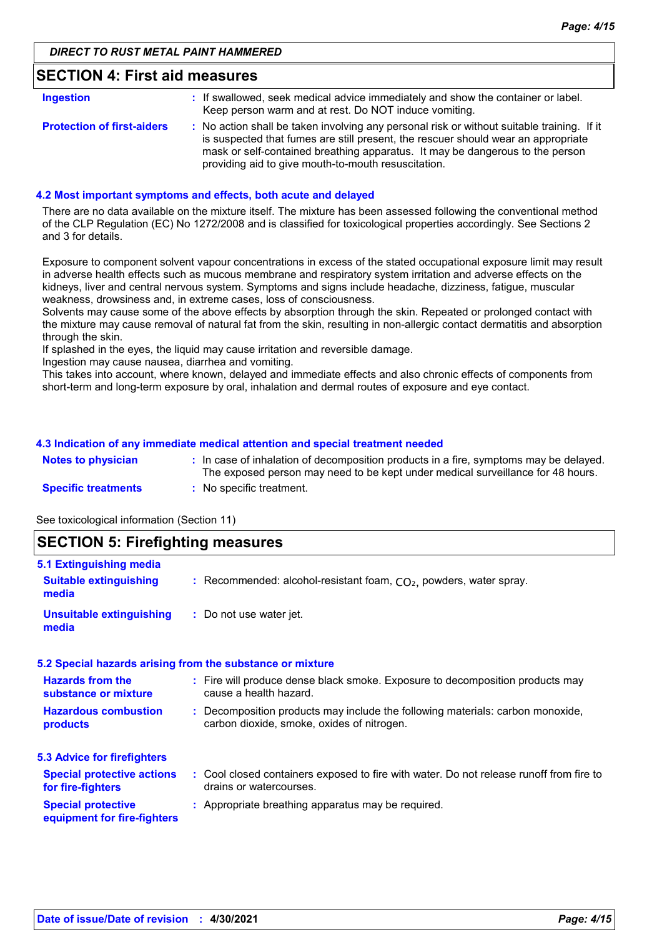### **SECTION 4: First aid measures**

| <b>Ingestion</b>                  | : If swallowed, seek medical advice immediately and show the container or label.<br>Keep person warm and at rest. Do NOT induce vomiting.                                                                                                                                                                               |
|-----------------------------------|-------------------------------------------------------------------------------------------------------------------------------------------------------------------------------------------------------------------------------------------------------------------------------------------------------------------------|
| <b>Protection of first-aiders</b> | : No action shall be taken involving any personal risk or without suitable training. If it<br>is suspected that fumes are still present, the rescuer should wear an appropriate<br>mask or self-contained breathing apparatus. It may be dangerous to the person<br>providing aid to give mouth-to-mouth resuscitation. |

#### **4.2 Most important symptoms and effects, both acute and delayed**

There are no data available on the mixture itself. The mixture has been assessed following the conventional method of the CLP Regulation (EC) No 1272/2008 and is classified for toxicological properties accordingly. See Sections 2 and 3 for details.

Exposure to component solvent vapour concentrations in excess of the stated occupational exposure limit may result in adverse health effects such as mucous membrane and respiratory system irritation and adverse effects on the kidneys, liver and central nervous system. Symptoms and signs include headache, dizziness, fatigue, muscular weakness, drowsiness and, in extreme cases, loss of consciousness.

Solvents may cause some of the above effects by absorption through the skin. Repeated or prolonged contact with the mixture may cause removal of natural fat from the skin, resulting in non-allergic contact dermatitis and absorption through the skin.

If splashed in the eyes, the liquid may cause irritation and reversible damage.

Ingestion may cause nausea, diarrhea and vomiting.

This takes into account, where known, delayed and immediate effects and also chronic effects of components from short-term and long-term exposure by oral, inhalation and dermal routes of exposure and eye contact.

#### **4.3 Indication of any immediate medical attention and special treatment needed**

| <b>Notes to physician</b>  | : In case of inhalation of decomposition products in a fire, symptoms may be delayed.<br>The exposed person may need to be kept under medical surveillance for 48 hours. |
|----------------------------|--------------------------------------------------------------------------------------------------------------------------------------------------------------------------|
| <b>Specific treatments</b> | : No specific treatment.                                                                                                                                                 |

See toxicological information (Section 11)

### **SECTION 5: Firefighting measures**

| 5.1 Extinguishing media                                  |                                                                                                                              |
|----------------------------------------------------------|------------------------------------------------------------------------------------------------------------------------------|
| <b>Suitable extinguishing</b><br>media                   | : Recommended: alcohol-resistant foam, $CO2$ , powders, water spray.                                                         |
| <b>Unsuitable extinguishing</b><br>media                 | : Do not use water jet.                                                                                                      |
|                                                          | 5.2 Special hazards arising from the substance or mixture                                                                    |
| <b>Hazards from the</b><br>substance or mixture          | : Fire will produce dense black smoke. Exposure to decomposition products may<br>cause a health hazard.                      |
| <b>Hazardous combustion</b><br>products                  | : Decomposition products may include the following materials: carbon monoxide,<br>carbon dioxide, smoke, oxides of nitrogen. |
| <b>5.3 Advice for firefighters</b>                       |                                                                                                                              |
| <b>Special protective actions</b><br>for fire-fighters   | : Cool closed containers exposed to fire with water. Do not release runoff from fire to<br>drains or watercourses.           |
| <b>Special protective</b><br>equipment for fire-fighters | : Appropriate breathing apparatus may be required.                                                                           |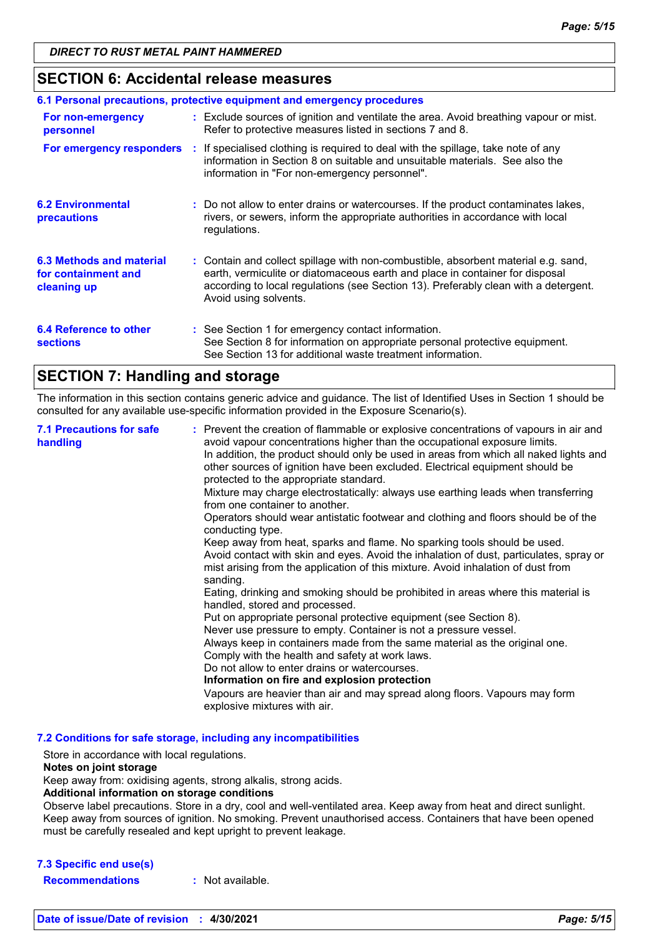### **SECTION 6: Accidental release measures**

|                                                                | 6.1 Personal precautions, protective equipment and emergency procedures                                                                                                                                                                                                            |
|----------------------------------------------------------------|------------------------------------------------------------------------------------------------------------------------------------------------------------------------------------------------------------------------------------------------------------------------------------|
| For non-emergency<br>personnel                                 | : Exclude sources of ignition and ventilate the area. Avoid breathing vapour or mist.<br>Refer to protective measures listed in sections 7 and 8.                                                                                                                                  |
|                                                                | For emergency responders : If specialised clothing is required to deal with the spillage, take note of any<br>information in Section 8 on suitable and unsuitable materials. See also the<br>information in "For non-emergency personnel".                                         |
| <b>6.2 Environmental</b><br>precautions                        | : Do not allow to enter drains or watercourses. If the product contaminates lakes,<br>rivers, or sewers, inform the appropriate authorities in accordance with local<br>regulations.                                                                                               |
| 6.3 Methods and material<br>for containment and<br>cleaning up | : Contain and collect spillage with non-combustible, absorbent material e.g. sand,<br>earth, vermiculite or diatomaceous earth and place in container for disposal<br>according to local regulations (see Section 13). Preferably clean with a detergent.<br>Avoid using solvents. |
| 6.4 Reference to other<br><b>sections</b>                      | : See Section 1 for emergency contact information.<br>See Section 8 for information on appropriate personal protective equipment.<br>See Section 13 for additional waste treatment information.                                                                                    |

### **SECTION 7: Handling and storage**

The information in this section contains generic advice and guidance. The list of Identified Uses in Section 1 should be consulted for any available use-specific information provided in the Exposure Scenario(s).

| <b>7.1 Precautions for safe</b><br>handling | : Prevent the creation of flammable or explosive concentrations of vapours in air and<br>avoid vapour concentrations higher than the occupational exposure limits.<br>In addition, the product should only be used in areas from which all naked lights and<br>other sources of ignition have been excluded. Electrical equipment should be<br>protected to the appropriate standard.<br>Mixture may charge electrostatically: always use earthing leads when transferring<br>from one container to another.<br>Operators should wear antistatic footwear and clothing and floors should be of the<br>conducting type.<br>Keep away from heat, sparks and flame. No sparking tools should be used.<br>Avoid contact with skin and eyes. Avoid the inhalation of dust, particulates, spray or<br>mist arising from the application of this mixture. Avoid inhalation of dust from<br>sanding.<br>Eating, drinking and smoking should be prohibited in areas where this material is<br>handled, stored and processed.<br>Put on appropriate personal protective equipment (see Section 8).<br>Never use pressure to empty. Container is not a pressure vessel.<br>Always keep in containers made from the same material as the original one.<br>Comply with the health and safety at work laws.<br>Do not allow to enter drains or watercourses.<br>Information on fire and explosion protection<br>Vapours are heavier than air and may spread along floors. Vapours may form |
|---------------------------------------------|------------------------------------------------------------------------------------------------------------------------------------------------------------------------------------------------------------------------------------------------------------------------------------------------------------------------------------------------------------------------------------------------------------------------------------------------------------------------------------------------------------------------------------------------------------------------------------------------------------------------------------------------------------------------------------------------------------------------------------------------------------------------------------------------------------------------------------------------------------------------------------------------------------------------------------------------------------------------------------------------------------------------------------------------------------------------------------------------------------------------------------------------------------------------------------------------------------------------------------------------------------------------------------------------------------------------------------------------------------------------------------------------------------------------------------------------------------------------------|
|                                             | explosive mixtures with air.                                                                                                                                                                                                                                                                                                                                                                                                                                                                                                                                                                                                                                                                                                                                                                                                                                                                                                                                                                                                                                                                                                                                                                                                                                                                                                                                                                                                                                                 |

#### **7.2 Conditions for safe storage, including any incompatibilities**

Store in accordance with local regulations.

#### **Notes on joint storage**

Keep away from: oxidising agents, strong alkalis, strong acids.

#### **Additional information on storage conditions**

Observe label precautions. Store in a dry, cool and well-ventilated area. Keep away from heat and direct sunlight. Keep away from sources of ignition. No smoking. Prevent unauthorised access. Containers that have been opened must be carefully resealed and kept upright to prevent leakage.

| 7.3 Specific end use(s) |  |
|-------------------------|--|
| <b>Docommondations</b>  |  |

**Recommendations :** Not available.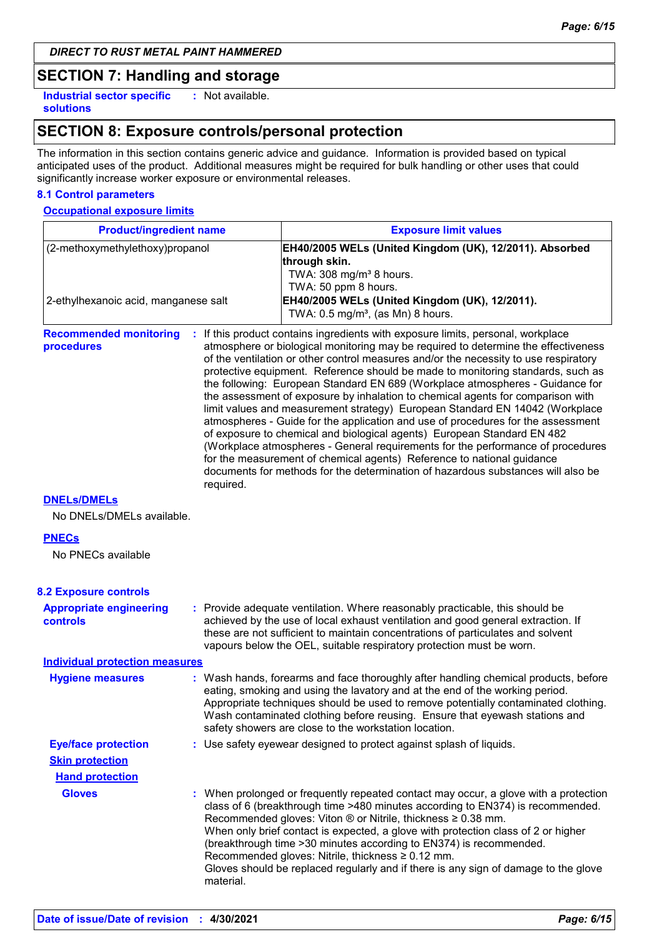### **SECTION 7: Handling and storage**

**Industrial sector specific : solutions** : Not available.

### **SECTION 8: Exposure controls/personal protection**

The information in this section contains generic advice and guidance. Information is provided based on typical anticipated uses of the product. Additional measures might be required for bulk handling or other uses that could significantly increase worker exposure or environmental releases.

### **8.1 Control parameters**

**Occupational exposure limits**

| <b>Product/ingredient name</b><br>(2-methoxymethylethoxy)propanol              |           | <b>Exposure limit values</b>                                                                                                                                                                                                                                                                                                                                                                                                                                                                                                                                                                                                                                                                                                                                                                                                                                                                                                                                                                                          |  |
|--------------------------------------------------------------------------------|-----------|-----------------------------------------------------------------------------------------------------------------------------------------------------------------------------------------------------------------------------------------------------------------------------------------------------------------------------------------------------------------------------------------------------------------------------------------------------------------------------------------------------------------------------------------------------------------------------------------------------------------------------------------------------------------------------------------------------------------------------------------------------------------------------------------------------------------------------------------------------------------------------------------------------------------------------------------------------------------------------------------------------------------------|--|
|                                                                                |           | EH40/2005 WELs (United Kingdom (UK), 12/2011). Absorbed<br>through skin.<br>TWA: 308 mg/m <sup>3</sup> 8 hours.<br>TWA: 50 ppm 8 hours.                                                                                                                                                                                                                                                                                                                                                                                                                                                                                                                                                                                                                                                                                                                                                                                                                                                                               |  |
| 2-ethylhexanoic acid, manganese salt                                           |           | EH40/2005 WELs (United Kingdom (UK), 12/2011).<br>TWA: $0.5 \text{ mg/m}^3$ , (as Mn) 8 hours.                                                                                                                                                                                                                                                                                                                                                                                                                                                                                                                                                                                                                                                                                                                                                                                                                                                                                                                        |  |
| <b>Recommended monitoring</b><br>procedures                                    | required. | : If this product contains ingredients with exposure limits, personal, workplace<br>atmosphere or biological monitoring may be required to determine the effectiveness<br>of the ventilation or other control measures and/or the necessity to use respiratory<br>protective equipment. Reference should be made to monitoring standards, such as<br>the following: European Standard EN 689 (Workplace atmospheres - Guidance for<br>the assessment of exposure by inhalation to chemical agents for comparison with<br>limit values and measurement strategy) European Standard EN 14042 (Workplace<br>atmospheres - Guide for the application and use of procedures for the assessment<br>of exposure to chemical and biological agents) European Standard EN 482<br>(Workplace atmospheres - General requirements for the performance of procedures<br>for the measurement of chemical agents) Reference to national guidance<br>documents for methods for the determination of hazardous substances will also be |  |
| <b>DNELs/DMELs</b><br>No DNELs/DMELs available.                                |           |                                                                                                                                                                                                                                                                                                                                                                                                                                                                                                                                                                                                                                                                                                                                                                                                                                                                                                                                                                                                                       |  |
| <b>PNECs</b><br>No PNECs available                                             |           |                                                                                                                                                                                                                                                                                                                                                                                                                                                                                                                                                                                                                                                                                                                                                                                                                                                                                                                                                                                                                       |  |
| <b>8.2 Exposure controls</b>                                                   |           |                                                                                                                                                                                                                                                                                                                                                                                                                                                                                                                                                                                                                                                                                                                                                                                                                                                                                                                                                                                                                       |  |
| <b>Appropriate engineering</b><br>controls                                     |           | : Provide adequate ventilation. Where reasonably practicable, this should be<br>achieved by the use of local exhaust ventilation and good general extraction. If<br>these are not sufficient to maintain concentrations of particulates and solvent<br>vapours below the OEL, suitable respiratory protection must be worn.                                                                                                                                                                                                                                                                                                                                                                                                                                                                                                                                                                                                                                                                                           |  |
| <b>Individual protection measures</b>                                          |           |                                                                                                                                                                                                                                                                                                                                                                                                                                                                                                                                                                                                                                                                                                                                                                                                                                                                                                                                                                                                                       |  |
| <b>Hygiene measures</b>                                                        |           | : Wash hands, forearms and face thoroughly after handling chemical products, before<br>eating, smoking and using the lavatory and at the end of the working period.<br>Appropriate techniques should be used to remove potentially contaminated clothing.<br>Wash contaminated clothing before reusing. Ensure that eyewash stations and<br>safety showers are close to the workstation location.                                                                                                                                                                                                                                                                                                                                                                                                                                                                                                                                                                                                                     |  |
| <b>Eye/face protection</b><br><b>Skin protection</b><br><b>Hand protection</b> |           | : Use safety eyewear designed to protect against splash of liquids.                                                                                                                                                                                                                                                                                                                                                                                                                                                                                                                                                                                                                                                                                                                                                                                                                                                                                                                                                   |  |
| <b>Gloves</b>                                                                  | material. | : When prolonged or frequently repeated contact may occur, a glove with a protection<br>class of 6 (breakthrough time >480 minutes according to EN374) is recommended.<br>Recommended gloves: Viton ® or Nitrile, thickness ≥ 0.38 mm.<br>When only brief contact is expected, a glove with protection class of 2 or higher<br>(breakthrough time > 30 minutes according to EN374) is recommended.<br>Recommended gloves: Nitrile, thickness ≥ 0.12 mm.<br>Gloves should be replaced regularly and if there is any sign of damage to the glove                                                                                                                                                                                                                                                                                                                                                                                                                                                                        |  |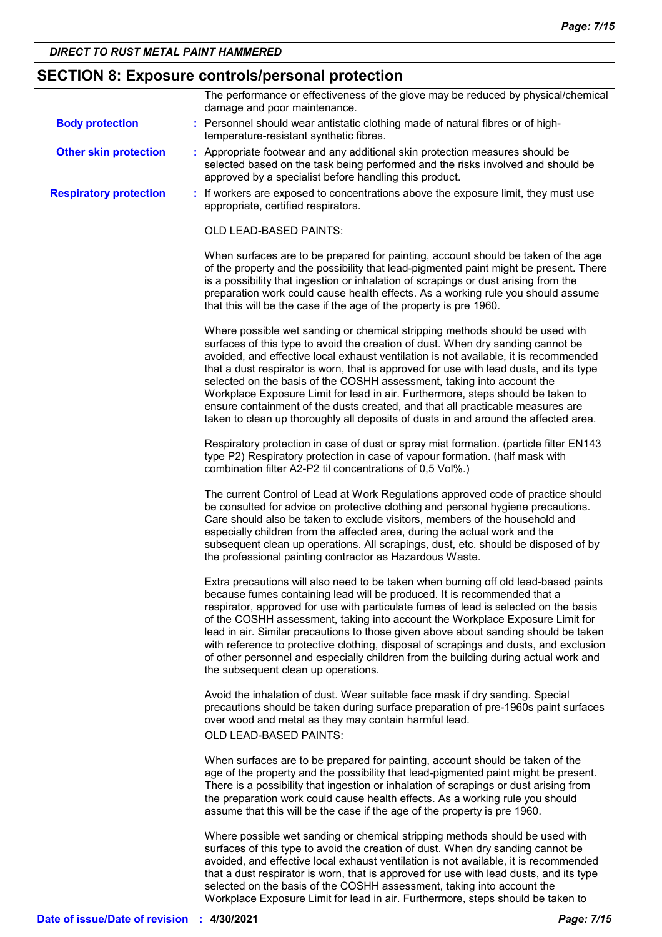### **SECTION 8: Exposure controls/personal protection**

|                               | The performance or effectiveness of the glove may be reduced by physical/chemical<br>damage and poor maintenance.                                                                                                                                                                                                                                                                                                                                                                                                                                                                                                                                                                       |
|-------------------------------|-----------------------------------------------------------------------------------------------------------------------------------------------------------------------------------------------------------------------------------------------------------------------------------------------------------------------------------------------------------------------------------------------------------------------------------------------------------------------------------------------------------------------------------------------------------------------------------------------------------------------------------------------------------------------------------------|
| <b>Body protection</b>        | : Personnel should wear antistatic clothing made of natural fibres or of high-<br>temperature-resistant synthetic fibres.                                                                                                                                                                                                                                                                                                                                                                                                                                                                                                                                                               |
| <b>Other skin protection</b>  | : Appropriate footwear and any additional skin protection measures should be<br>selected based on the task being performed and the risks involved and should be<br>approved by a specialist before handling this product.                                                                                                                                                                                                                                                                                                                                                                                                                                                               |
| <b>Respiratory protection</b> | : If workers are exposed to concentrations above the exposure limit, they must use<br>appropriate, certified respirators.                                                                                                                                                                                                                                                                                                                                                                                                                                                                                                                                                               |
|                               | OLD LEAD-BASED PAINTS:                                                                                                                                                                                                                                                                                                                                                                                                                                                                                                                                                                                                                                                                  |
|                               | When surfaces are to be prepared for painting, account should be taken of the age<br>of the property and the possibility that lead-pigmented paint might be present. There<br>is a possibility that ingestion or inhalation of scrapings or dust arising from the<br>preparation work could cause health effects. As a working rule you should assume<br>that this will be the case if the age of the property is pre 1960.                                                                                                                                                                                                                                                             |
|                               | Where possible wet sanding or chemical stripping methods should be used with<br>surfaces of this type to avoid the creation of dust. When dry sanding cannot be<br>avoided, and effective local exhaust ventilation is not available, it is recommended<br>that a dust respirator is worn, that is approved for use with lead dusts, and its type<br>selected on the basis of the COSHH assessment, taking into account the<br>Workplace Exposure Limit for lead in air. Furthermore, steps should be taken to<br>ensure containment of the dusts created, and that all practicable measures are<br>taken to clean up thoroughly all deposits of dusts in and around the affected area. |
|                               | Respiratory protection in case of dust or spray mist formation. (particle filter EN143<br>type P2) Respiratory protection in case of vapour formation. (half mask with<br>combination filter A2-P2 til concentrations of 0,5 Vol%.)                                                                                                                                                                                                                                                                                                                                                                                                                                                     |
|                               | The current Control of Lead at Work Regulations approved code of practice should<br>be consulted for advice on protective clothing and personal hygiene precautions.<br>Care should also be taken to exclude visitors, members of the household and<br>especially children from the affected area, during the actual work and the<br>subsequent clean up operations. All scrapings, dust, etc. should be disposed of by<br>the professional painting contractor as Hazardous Waste.                                                                                                                                                                                                     |
|                               | Extra precautions will also need to be taken when burning off old lead-based paints<br>because fumes containing lead will be produced. It is recommended that a<br>respirator, approved for use with particulate fumes of lead is selected on the basis<br>of the COSHH assessment, taking into account the Workplace Exposure Limit for<br>lead in air. Similar precautions to those given above about sanding should be taken<br>with reference to protective clothing, disposal of scrapings and dusts, and exclusion<br>of other personnel and especially children from the building during actual work and<br>the subsequent clean up operations.                                  |
|                               | Avoid the inhalation of dust. Wear suitable face mask if dry sanding. Special<br>precautions should be taken during surface preparation of pre-1960s paint surfaces<br>over wood and metal as they may contain harmful lead.<br><b>OLD LEAD-BASED PAINTS:</b>                                                                                                                                                                                                                                                                                                                                                                                                                           |
|                               | When surfaces are to be prepared for painting, account should be taken of the<br>age of the property and the possibility that lead-pigmented paint might be present.<br>There is a possibility that ingestion or inhalation of scrapings or dust arising from<br>the preparation work could cause health effects. As a working rule you should<br>assume that this will be the case if the age of the property is pre 1960.                                                                                                                                                                                                                                                             |
|                               | Where possible wet sanding or chemical stripping methods should be used with<br>surfaces of this type to avoid the creation of dust. When dry sanding cannot be<br>avoided, and effective local exhaust ventilation is not available, it is recommended<br>that a dust respirator is worn, that is approved for use with lead dusts, and its type<br>selected on the basis of the COSHH assessment, taking into account the                                                                                                                                                                                                                                                             |

Workplace Exposure Limit for lead in air. Furthermore, steps should be taken to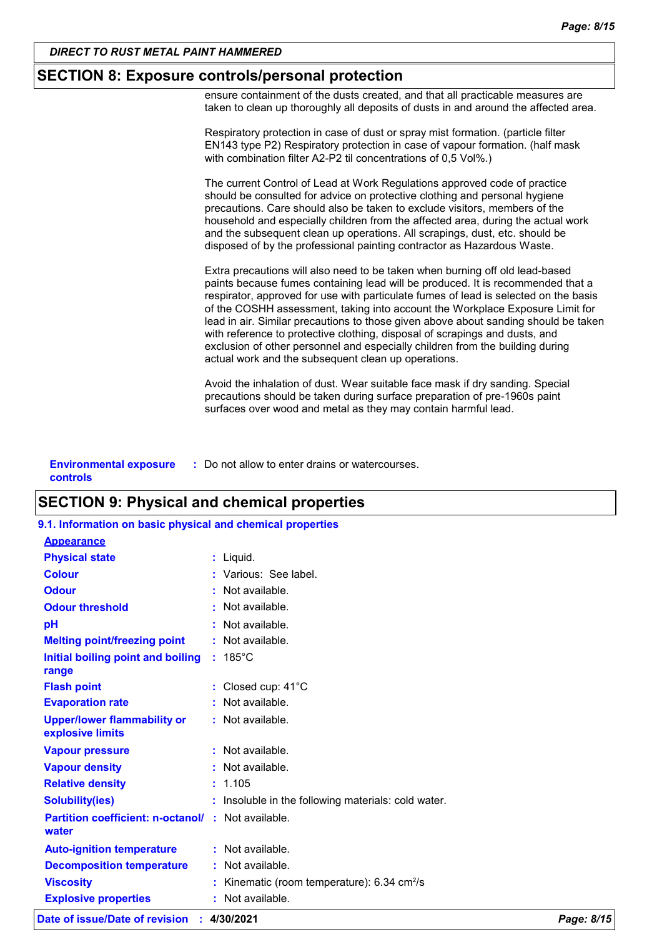### **SECTION 8: Exposure controls/personal protection**

ensure containment of the dusts created, and that all practicable measures are taken to clean up thoroughly all deposits of dusts in and around the affected area.

Respiratory protection in case of dust or spray mist formation. (particle filter EN143 type P2) Respiratory protection in case of vapour formation. (half mask with combination filter A2-P2 til concentrations of 0,5 Vol%.)

The current Control of Lead at Work Regulations approved code of practice should be consulted for advice on protective clothing and personal hygiene precautions. Care should also be taken to exclude visitors, members of the household and especially children from the affected area, during the actual work and the subsequent clean up operations. All scrapings, dust, etc. should be disposed of by the professional painting contractor as Hazardous Waste.

Extra precautions will also need to be taken when burning off old lead-based paints because fumes containing lead will be produced. It is recommended that a respirator, approved for use with particulate fumes of lead is selected on the basis of the COSHH assessment, taking into account the Workplace Exposure Limit for lead in air. Similar precautions to those given above about sanding should be taken with reference to protective clothing, disposal of scrapings and dusts, and exclusion of other personnel and especially children from the building during actual work and the subsequent clean up operations.

Avoid the inhalation of dust. Wear suitable face mask if dry sanding. Special precautions should be taken during surface preparation of pre-1960s paint surfaces over wood and metal as they may contain harmful lead.

**Environmental exposure : Do not allow to enter drains or watercourses. controls**

### **SECTION 9: Physical and chemical properties**

| 9.1. Information on basic physical and chemical properties         |                                                            |
|--------------------------------------------------------------------|------------------------------------------------------------|
| <b>Appearance</b>                                                  |                                                            |
| <b>Physical state</b>                                              | : Liquid.                                                  |
| <b>Colour</b>                                                      | : Various: See label.                                      |
| <b>Odour</b>                                                       | $:$ Not available.                                         |
| <b>Odour threshold</b>                                             | $\cdot$ Not available.                                     |
| рH                                                                 | $:$ Not available.                                         |
| <b>Melting point/freezing point</b>                                | $:$ Not available.                                         |
| Initial boiling point and boiling<br>range                         | $: 185^{\circ}$ C                                          |
| <b>Flash point</b>                                                 | : Closed cup: $41^{\circ}$ C                               |
| <b>Evaporation rate</b>                                            | $:$ Not available.                                         |
| <b>Upper/lower flammability or</b><br>explosive limits             | : Not available.                                           |
| <b>Vapour pressure</b>                                             | : Not available.                                           |
| <b>Vapour density</b>                                              | $:$ Not available.                                         |
| <b>Relative density</b>                                            | : 1.105                                                    |
| <b>Solubility(ies)</b>                                             | Insoluble in the following materials: cold water.          |
| <b>Partition coefficient: n-octanol/ : Not available.</b><br>water |                                                            |
| <b>Auto-ignition temperature</b>                                   | : Not available.                                           |
| <b>Decomposition temperature</b>                                   | : Not available.                                           |
| <b>Viscosity</b>                                                   | Kinematic (room temperature): $6.34 \text{ cm}^2/\text{s}$ |
| <b>Explosive properties</b>                                        | Not available.                                             |

**Date of issue/Date of revision : 4/30/2021** *Page: 8/15*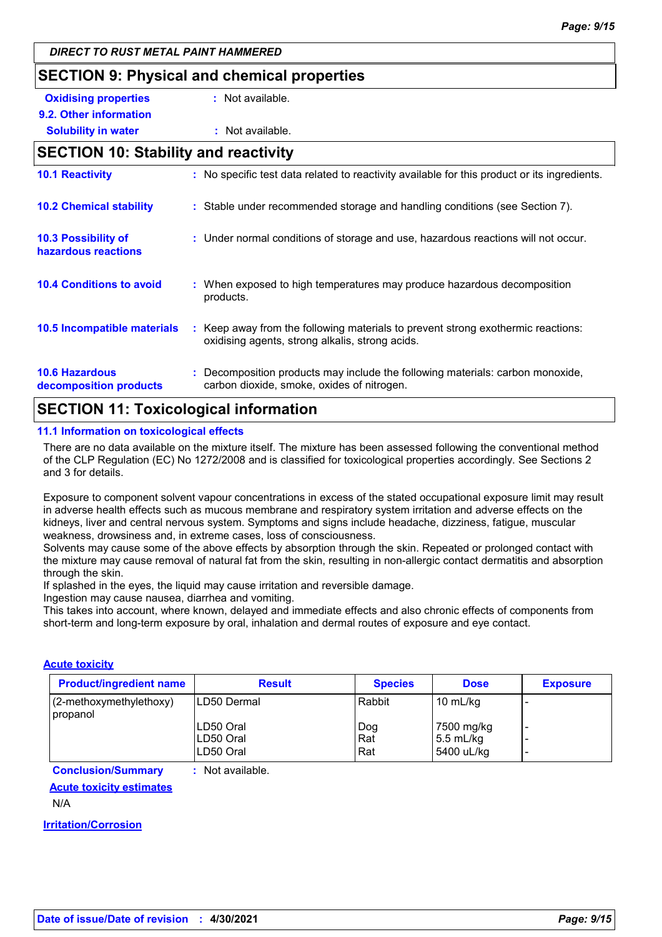### **SECTION 9: Physical and chemical properties**

| <b>Oxidising properties</b> | : Not available. |
|-----------------------------|------------------|
| 9.2. Other information      |                  |

### **Solubility in water :** Not available. **SECTION 10: Stability and reactivity**

| <b>10.1 Reactivity</b>                            | : No specific test data related to reactivity available for this product or its ingredients.                                        |
|---------------------------------------------------|-------------------------------------------------------------------------------------------------------------------------------------|
| <b>10.2 Chemical stability</b>                    | : Stable under recommended storage and handling conditions (see Section 7).                                                         |
| <b>10.3 Possibility of</b><br>hazardous reactions | : Under normal conditions of storage and use, hazardous reactions will not occur.                                                   |
| <b>10.4 Conditions to avoid</b>                   | : When exposed to high temperatures may produce hazardous decomposition<br>products.                                                |
| 10.5 Incompatible materials                       | : Keep away from the following materials to prevent strong exothermic reactions:<br>oxidising agents, strong alkalis, strong acids. |
| <b>10.6 Hazardous</b><br>decomposition products   | : Decomposition products may include the following materials: carbon monoxide,<br>carbon dioxide, smoke, oxides of nitrogen.        |

### **SECTION 11: Toxicological information**

#### **11.1 Information on toxicological effects**

There are no data available on the mixture itself. The mixture has been assessed following the conventional method of the CLP Regulation (EC) No 1272/2008 and is classified for toxicological properties accordingly. See Sections 2 and 3 for details.

Exposure to component solvent vapour concentrations in excess of the stated occupational exposure limit may result in adverse health effects such as mucous membrane and respiratory system irritation and adverse effects on the kidneys, liver and central nervous system. Symptoms and signs include headache, dizziness, fatigue, muscular weakness, drowsiness and, in extreme cases, loss of consciousness.

Solvents may cause some of the above effects by absorption through the skin. Repeated or prolonged contact with the mixture may cause removal of natural fat from the skin, resulting in non-allergic contact dermatitis and absorption through the skin.

If splashed in the eyes, the liquid may cause irritation and reversible damage.

Ingestion may cause nausea, diarrhea and vomiting.

This takes into account, where known, delayed and immediate effects and also chronic effects of components from short-term and long-term exposure by oral, inhalation and dermal routes of exposure and eye contact.

#### **Acute toxicity**

| <b>Product/ingredient name</b>      | <b>Result</b>          | <b>Species</b> | <b>Dose</b>               | <b>Exposure</b> |
|-------------------------------------|------------------------|----------------|---------------------------|-----------------|
| (2-methoxymethylethoxy)<br>propanol | <b>ILD50 Dermal</b>    | Rabbit         | 10 mL/kg                  |                 |
|                                     | LD50 Oral<br>LD50 Oral | Dog<br>Rat     | 7500 mg/kg<br>$5.5$ mL/kg | -               |
|                                     | LD50 Oral              | Rat            | 5400 uL/kg                |                 |

**Conclusion/Summary :** Not available.

### **Acute toxicity estimates**

N/A

**Irritation/Corrosion**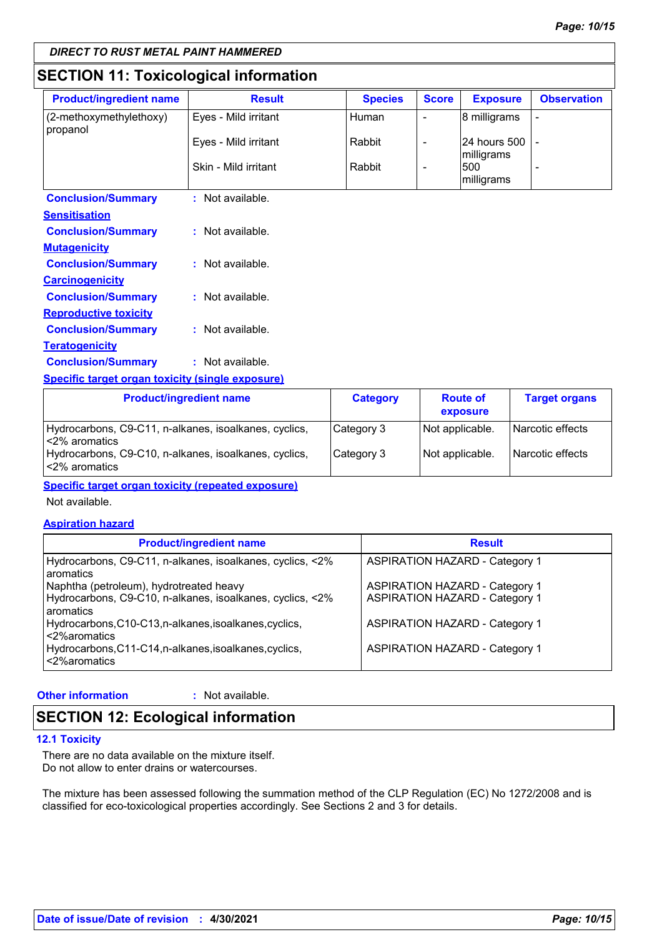### **SECTION 11: Toxicological information**

| <b>Product/ingredient name</b>                    | <b>Result</b>        | <b>Species</b> | <b>Score</b> | <b>Exposure</b>              | <b>Observation</b> |
|---------------------------------------------------|----------------------|----------------|--------------|------------------------------|--------------------|
| $(2$ -methoxymethylethoxy)<br>propanol            | Eyes - Mild irritant | Human          |              | 8 milligrams                 |                    |
|                                                   | Eyes - Mild irritant | Rabbit         |              | 24 hours 500 -<br>milligrams |                    |
|                                                   | Skin - Mild irritant | Rabbit         |              | 1500<br>milligrams           |                    |
| <b>Conclusion/Summary</b><br><b>Soncification</b> | Not available.       |                |              |                              |                    |

| יוטווסונוסעו                 |                  |
|------------------------------|------------------|
| <b>Conclusion/Summary</b>    | : Not available. |
| <u>Mutaqenicity</u>          |                  |
| <b>Conclusion/Summary</b>    | : Not available. |
| <u>Carcinogenicity</u>       |                  |
| <b>Conclusion/Summary</b>    | : Not available. |
| <u>Reproductive toxicity</u> |                  |
| <b>Conclusion/Summary</b>    | : Not available. |
| <u>Teratogenicity</u>        |                  |
| <b>Conclusion/Summary</b>    | : Not available. |
|                              |                  |

**Specific target organ toxicity (single exposure)**

| <b>Product/ingredient name</b>                                          | <b>Category</b> | <b>Route of</b><br>exposure | <b>Target organs</b> |
|-------------------------------------------------------------------------|-----------------|-----------------------------|----------------------|
| Hydrocarbons, C9-C11, n-alkanes, isoalkanes, cyclics,<br>l<2% aromatics | Category 3      | Not applicable.             | Narcotic effects     |
| Hydrocarbons, C9-C10, n-alkanes, isoalkanes, cyclics,<br>l<2% aromatics | Category 3      | Not applicable.             | Narcotic effects     |

**Specific target organ toxicity (repeated exposure)**

Not available.

#### **Aspiration hazard**

| <b>Product/ingredient name</b>                                         | <b>Result</b>                         |
|------------------------------------------------------------------------|---------------------------------------|
| Hydrocarbons, C9-C11, n-alkanes, isoalkanes, cyclics, <2%<br>aromatics | <b>ASPIRATION HAZARD - Category 1</b> |
| Naphtha (petroleum), hydrotreated heavy                                | <b>ASPIRATION HAZARD - Category 1</b> |
| Hydrocarbons, C9-C10, n-alkanes, isoalkanes, cyclics, <2%<br>aromatics | <b>ASPIRATION HAZARD - Category 1</b> |
| Hydrocarbons, C10-C13, n-alkanes, isoalkanes, cyclics,<br><2%aromatics | <b>ASPIRATION HAZARD - Category 1</b> |
| Hydrocarbons, C11-C14, n-alkanes, isoalkanes, cyclics,<br><2%aromatics | <b>ASPIRATION HAZARD - Category 1</b> |

#### **Other information :**

: Not available.

### **SECTION 12: Ecological information**

#### **12.1 Toxicity**

There are no data available on the mixture itself. Do not allow to enter drains or watercourses.

The mixture has been assessed following the summation method of the CLP Regulation (EC) No 1272/2008 and is classified for eco-toxicological properties accordingly. See Sections 2 and 3 for details.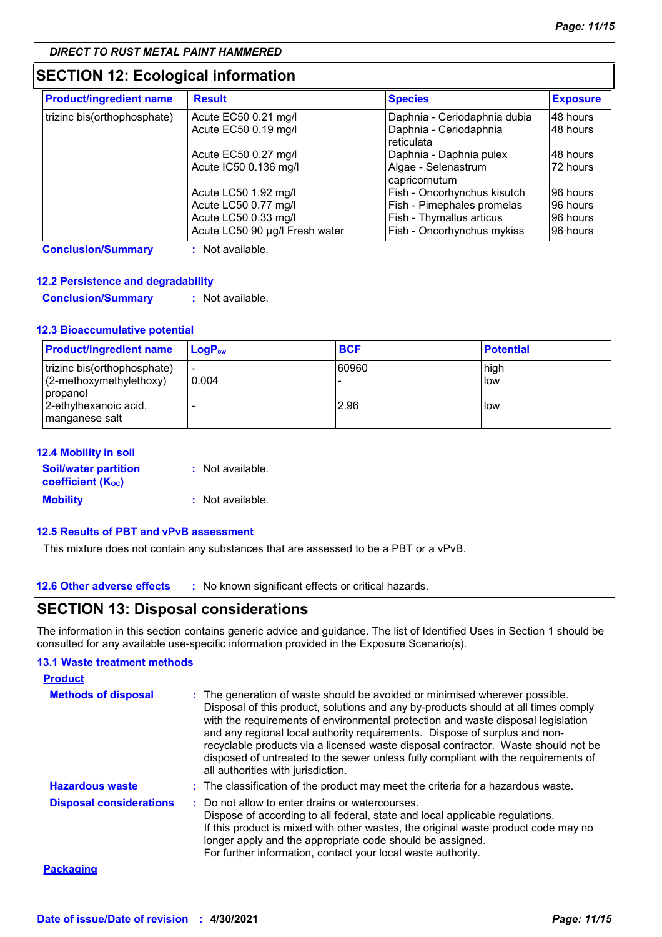### **SECTION 12: Ecological information**

| <b>Product/ingredient name</b> | <b>Result</b>                  | <b>Species</b>                       | <b>Exposure</b> |
|--------------------------------|--------------------------------|--------------------------------------|-----------------|
| trizinc bis(orthophosphate)    | Acute EC50 0.21 mg/l           | Daphnia - Ceriodaphnia dubia         | 48 hours        |
|                                | Acute EC50 0.19 mg/l           | Daphnia - Ceriodaphnia<br>reticulata | 48 hours        |
|                                | Acute EC50 0.27 mg/l           | Daphnia - Daphnia pulex              | 48 hours        |
|                                | Acute IC50 0.136 mg/l          | Algae - Selenastrum<br>capricornutum | 72 hours        |
|                                | Acute LC50 1.92 mg/l           | Fish - Oncorhynchus kisutch          | 96 hours        |
|                                | Acute LC50 0.77 mg/l           | Fish - Pimephales promelas           | 96 hours        |
|                                | Acute LC50 0.33 mg/l           | Fish - Thymallus articus             | 96 hours        |
|                                | Acute LC50 90 µg/l Fresh water | Fish - Oncorhynchus mykiss           | 96 hours        |

**Conclusion/Summary :** Not available.

#### **12.2 Persistence and degradability**

**Conclusion/Summary :** Not available.

#### **12.3 Bioaccumulative potential**

| <b>Product/ingredient name</b>          | $\mathsf{LocP}_\infty$   | <b>BCF</b> | <b>Potential</b> |
|-----------------------------------------|--------------------------|------------|------------------|
| trizinc bis(orthophosphate)             | $\overline{\phantom{a}}$ | 60960      | high             |
| (2-methoxymethylethoxy)<br>propanol     | 0.004                    |            | low              |
| 2-ethylhexanoic acid,<br>manganese salt |                          | 2.96       | low              |

| <b>12.4 Mobility in soil</b>                                         |                  |
|----------------------------------------------------------------------|------------------|
| <b>Soil/water partition</b><br><b>coefficient</b> (K <sub>oc</sub> ) | : Not available. |
| <b>Mobility</b>                                                      | : Not available. |

### **12.5 Results of PBT and vPvB assessment**

This mixture does not contain any substances that are assessed to be a PBT or a vPvB.

**12.6 Other adverse effects** : No known significant effects or critical hazards.

### **SECTION 13: Disposal considerations**

The information in this section contains generic advice and guidance. The list of Identified Uses in Section 1 should be consulted for any available use-specific information provided in the Exposure Scenario(s).

#### **13.1 Waste treatment methods**

| <b>Product</b>                 |                                                                                                                                                                                                                                                                                                                                                                                                                                                                                                                                                      |
|--------------------------------|------------------------------------------------------------------------------------------------------------------------------------------------------------------------------------------------------------------------------------------------------------------------------------------------------------------------------------------------------------------------------------------------------------------------------------------------------------------------------------------------------------------------------------------------------|
| <b>Methods of disposal</b>     | : The generation of waste should be avoided or minimised wherever possible.<br>Disposal of this product, solutions and any by-products should at all times comply<br>with the requirements of environmental protection and waste disposal legislation<br>and any regional local authority requirements. Dispose of surplus and non-<br>recyclable products via a licensed waste disposal contractor. Waste should not be<br>disposed of untreated to the sewer unless fully compliant with the requirements of<br>all authorities with jurisdiction. |
| <b>Hazardous waste</b>         | : The classification of the product may meet the criteria for a hazardous waste.                                                                                                                                                                                                                                                                                                                                                                                                                                                                     |
| <b>Disposal considerations</b> | : Do not allow to enter drains or watercourses.<br>Dispose of according to all federal, state and local applicable regulations.<br>If this product is mixed with other wastes, the original waste product code may no<br>longer apply and the appropriate code should be assigned.<br>For further information, contact your local waste authority.                                                                                                                                                                                                   |
| <b>Packaging</b>               |                                                                                                                                                                                                                                                                                                                                                                                                                                                                                                                                                      |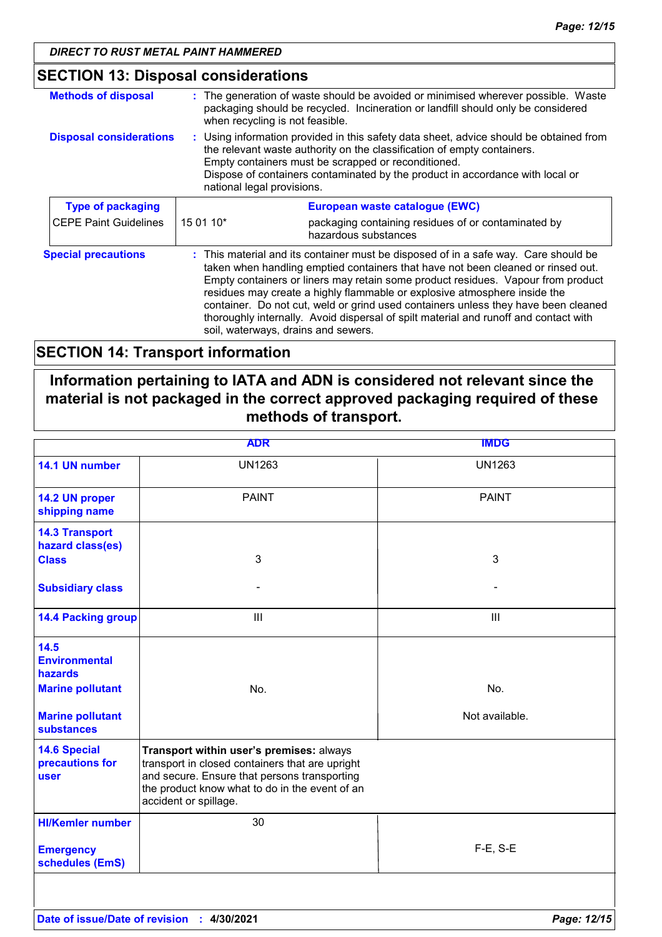## **SECTION 13: Disposal considerations**

| <b>Methods of disposal</b>     | when recycling is not feasible.                                                                                                                                                                                                                                                                                                                                                                                                                                                                                                                               | : The generation of waste should be avoided or minimised wherever possible. Waste<br>packaging should be recycled. Incineration or landfill should only be considered |
|--------------------------------|---------------------------------------------------------------------------------------------------------------------------------------------------------------------------------------------------------------------------------------------------------------------------------------------------------------------------------------------------------------------------------------------------------------------------------------------------------------------------------------------------------------------------------------------------------------|-----------------------------------------------------------------------------------------------------------------------------------------------------------------------|
| <b>Disposal considerations</b> | : Using information provided in this safety data sheet, advice should be obtained from<br>the relevant waste authority on the classification of empty containers.<br>Empty containers must be scrapped or reconditioned.<br>Dispose of containers contaminated by the product in accordance with local or<br>national legal provisions.                                                                                                                                                                                                                       |                                                                                                                                                                       |
| <b>Type of packaging</b>       |                                                                                                                                                                                                                                                                                                                                                                                                                                                                                                                                                               | European waste catalogue (EWC)                                                                                                                                        |
| <b>CEPE Paint Guidelines</b>   | 15 01 10*                                                                                                                                                                                                                                                                                                                                                                                                                                                                                                                                                     | packaging containing residues of or contaminated by<br>hazardous substances                                                                                           |
| <b>Special precautions</b>     | : This material and its container must be disposed of in a safe way. Care should be<br>taken when handling emptied containers that have not been cleaned or rinsed out.<br>Empty containers or liners may retain some product residues. Vapour from product<br>residues may create a highly flammable or explosive atmosphere inside the<br>container. Do not cut, weld or grind used containers unless they have been cleaned<br>thoroughly internally. Avoid dispersal of spilt material and runoff and contact with<br>soil, waterways, drains and sewers. |                                                                                                                                                                       |

### **SECTION 14: Transport information**

### **Information pertaining to IATA and ADN is considered not relevant since the material is not packaged in the correct approved packaging required of these methods of transport.**

| <b>ADR</b>                                     |                                                                                                                                                                                                                        | <b>IMDG</b>    |
|------------------------------------------------|------------------------------------------------------------------------------------------------------------------------------------------------------------------------------------------------------------------------|----------------|
| 14.1 UN number                                 | <b>UN1263</b>                                                                                                                                                                                                          | <b>UN1263</b>  |
| 14.2 UN proper<br>shipping name                | <b>PAINT</b>                                                                                                                                                                                                           | <b>PAINT</b>   |
| <b>14.3 Transport</b><br>hazard class(es)      |                                                                                                                                                                                                                        |                |
| <b>Class</b>                                   | 3                                                                                                                                                                                                                      | 3              |
| <b>Subsidiary class</b>                        |                                                                                                                                                                                                                        |                |
| <b>14.4 Packing group</b>                      | $\mathop{\mathsf{III}}\nolimits$                                                                                                                                                                                       | $\mathbf{III}$ |
| 14.5<br><b>Environmental</b><br><b>hazards</b> |                                                                                                                                                                                                                        |                |
| <b>Marine pollutant</b>                        | No.                                                                                                                                                                                                                    | No.            |
| <b>Marine pollutant</b><br><b>substances</b>   |                                                                                                                                                                                                                        | Not available. |
| <b>14.6 Special</b><br>precautions for<br>user | Transport within user's premises: always<br>transport in closed containers that are upright<br>and secure. Ensure that persons transporting<br>the product know what to do in the event of an<br>accident or spillage. |                |
| <b>HI/Kemler number</b>                        | 30                                                                                                                                                                                                                     |                |
| <b>Emergency</b><br>schedules (EmS)            |                                                                                                                                                                                                                        | F-E, S-E       |
|                                                |                                                                                                                                                                                                                        |                |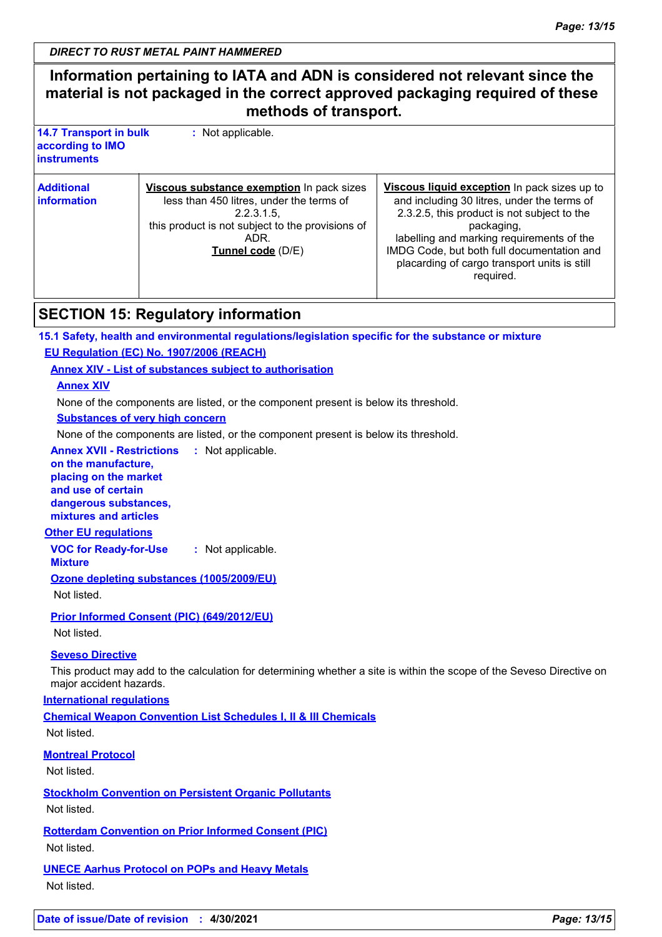### **Information pertaining to IATA and ADN is considered not relevant since the material is not packaged in the correct approved packaging required of these methods of transport.**

| <b>14.7 Transport in bulk</b><br>according to IMO<br><b>instruments</b> | : Not applicable.                                                                                                                                                                   |                                                                                                                                                                                                                                                                                                                  |
|-------------------------------------------------------------------------|-------------------------------------------------------------------------------------------------------------------------------------------------------------------------------------|------------------------------------------------------------------------------------------------------------------------------------------------------------------------------------------------------------------------------------------------------------------------------------------------------------------|
| <b>Additional</b><br>information                                        | Viscous substance exemption In pack sizes<br>less than 450 litres, under the terms of<br>2.2.3.1.5<br>this product is not subject to the provisions of<br>ADR.<br>Tunnel code (D/E) | Viscous liquid exception In pack sizes up to<br>and including 30 litres, under the terms of<br>2.3.2.5, this product is not subject to the<br>packaging,<br>labelling and marking requirements of the<br>IMDG Code, but both full documentation and<br>placarding of cargo transport units is still<br>required. |

### **SECTION 15: Regulatory information**

**15.1 Safety, health and environmental regulations/legislation specific for the substance or mixture**

**EU Regulation (EC) No. 1907/2006 (REACH)**

**Annex XIV - List of substances subject to authorisation**

**Annex XIV**

None of the components are listed, or the component present is below its threshold.

**Substances of very high concern**

None of the components are listed, or the component present is below its threshold.

**Annex XVII - Restrictions on the manufacture, placing on the market and use of certain dangerous substances, mixtures and articles :**

### **Other EU regulations**

**VOC for Ready-for-Use :** Not applicable.

**Mixture**

**Ozone depleting substances (1005/2009/EU)** Not listed.

**Prior Informed Consent (PIC) (649/2012/EU)** Not listed.

### **Seveso Directive**

This product may add to the calculation for determining whether a site is within the scope of the Seveso Directive on major accident hazards.

### **International regulations**

**Chemical Weapon Convention List Schedules I, II & III Chemicals** Not listed.

### **Montreal Protocol**

Not listed.

**Stockholm Convention on Persistent Organic Pollutants** Not listed.

**Rotterdam Convention on Prior Informed Consent (PIC)** Not listed.

**UNECE Aarhus Protocol on POPs and Heavy Metals** Not listed.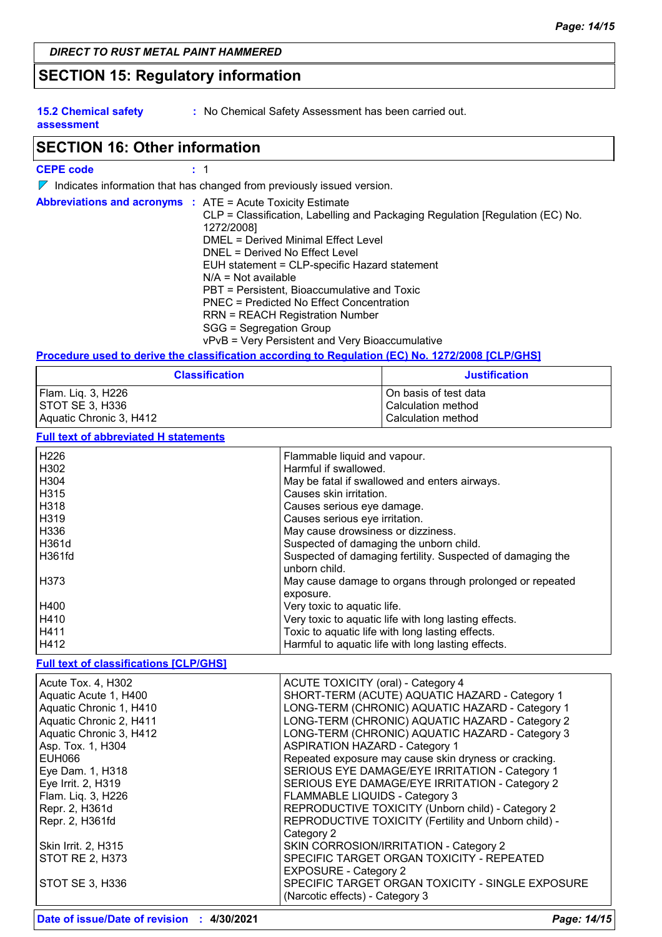### **SECTION 15: Regulatory information**

**15.2 Chemical safety assessment**

**:** No Chemical Safety Assessment has been carried out.

### **SECTION 16: Other information**

#### **CEPE code :** 1

 $\nabla$  Indicates information that has changed from previously issued version.

| <b>Abbreviations and acronyms : ATE = Acute Toxicity Estimate</b><br>CLP = Classification, Labelling and Packaging Regulation [Regulation (EC) No.<br>1272/2008]<br>DMEL = Derived Minimal Effect Level<br>DNEL = Derived No Effect Level<br>EUH statement = CLP-specific Hazard statement<br>$N/A = Not available$<br>PBT = Persistent, Bioaccumulative and Toxic<br>PNEC = Predicted No Effect Concentration |
|----------------------------------------------------------------------------------------------------------------------------------------------------------------------------------------------------------------------------------------------------------------------------------------------------------------------------------------------------------------------------------------------------------------|
| <b>RRN = REACH Registration Number</b><br>SGG = Segregation Group<br>vPvB = Very Persistent and Very Bioaccumulative                                                                                                                                                                                                                                                                                           |

#### **Procedure used to derive the classification according to Regulation (EC) No. 1272/2008 [CLP/GHS]**

| <b>Classification</b>   | <b>Justification</b>    |
|-------------------------|-------------------------|
| Flam. Liq. 3, H226      | l On basis of test data |
| STOT SE 3, H336         | Calculation method      |
| Aquatic Chronic 3, H412 | Calculation method      |

#### **Full text of abbreviated H statements**

| H226          | Flammable liquid and vapour.                               |
|---------------|------------------------------------------------------------|
| H302          | Harmful if swallowed.                                      |
| H304          | May be fatal if swallowed and enters airways.              |
| H315          | Causes skin irritation.                                    |
| H318          | Causes serious eye damage.                                 |
| H319          | Causes serious eye irritation.                             |
| H336          | May cause drowsiness or dizziness.                         |
| <b>H361d</b>  | Suspected of damaging the unborn child.                    |
| <b>H361fd</b> | Suspected of damaging fertility. Suspected of damaging the |
|               | unborn child.                                              |
| H373          | May cause damage to organs through prolonged or repeated   |
|               | exposure.                                                  |
| H400          | Very toxic to aquatic life.                                |
| H410          | Very toxic to aquatic life with long lasting effects.      |
| H411          | Toxic to aquatic life with long lasting effects.           |
| H412          | Harmful to aquatic life with long lasting effects.         |

#### **Full text of classifications [CLP/GHS]**

| Acute Tox. 4, H302      | <b>ACUTE TOXICITY (oral) - Category 4</b>             |
|-------------------------|-------------------------------------------------------|
| Aquatic Acute 1, H400   | SHORT-TERM (ACUTE) AQUATIC HAZARD - Category 1        |
| Aquatic Chronic 1, H410 | LONG-TERM (CHRONIC) AQUATIC HAZARD - Category 1       |
| Aquatic Chronic 2, H411 | LONG-TERM (CHRONIC) AQUATIC HAZARD - Category 2       |
| Aquatic Chronic 3, H412 | LONG-TERM (CHRONIC) AQUATIC HAZARD - Category 3       |
| Asp. Tox. 1, H304       | <b>ASPIRATION HAZARD - Category 1</b>                 |
| <b>EUH066</b>           | Repeated exposure may cause skin dryness or cracking. |
| Eye Dam. 1, H318        | SERIOUS EYE DAMAGE/EYE IRRITATION - Category 1        |
| Eye Irrit. 2, H319      | SERIOUS EYE DAMAGE/EYE IRRITATION - Category 2        |
| Flam. Liq. 3, H226      | FLAMMABLE LIQUIDS - Category 3                        |
| Repr. 2, H361d          | REPRODUCTIVE TOXICITY (Unborn child) - Category 2     |
| Repr. 2, H361fd         | REPRODUCTIVE TOXICITY (Fertility and Unborn child) -  |
|                         | Category 2                                            |
| Skin Irrit. 2, H315     | SKIN CORROSION/IRRITATION - Category 2                |
| <b>STOT RE 2, H373</b>  | SPECIFIC TARGET ORGAN TOXICITY - REPEATED             |
|                         | <b>EXPOSURE - Category 2</b>                          |
| STOT SE 3, H336         | SPECIFIC TARGET ORGAN TOXICITY - SINGLE EXPOSURE      |
|                         | (Narcotic effects) - Category 3                       |